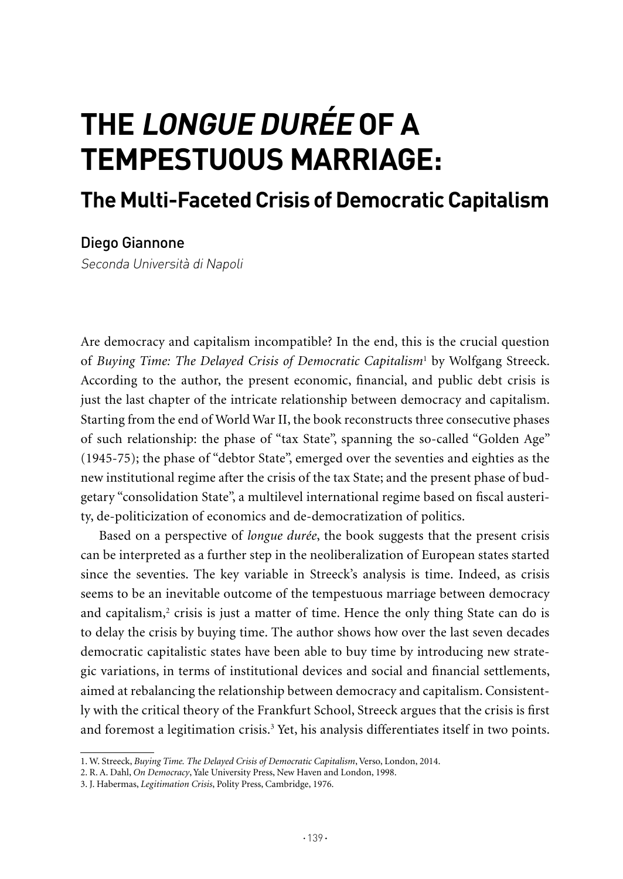## **ThE LONGuE DuRéE OF A TEMPESTuOuS MARRIAGE:**

## **The Multi-Faceted Crisis of Democratic Capitalism**

Diego Giannone

Seconda Università di Napoli

Are democracy and capitalism incompatible? In the end, this is the crucial question of *Buying Time: The Delayed Crisis of Democratic Capitalism*<sup>1</sup> by Wolfgang Streeck. According to the author, the present economic, financial, and public debt crisis is just the last chapter of the intricate relationship between democracy and capitalism. Starting from the end of World War II, the book reconstructs three consecutive phases of such relationship: the phase of "tax State", spanning the so-called "Golden Age" (1945-75); the phase of "debtor State", emerged over the seventies and eighties as the new institutional regime after the crisis of the tax State; and the present phase of budgetary "consolidation State", a multilevel international regime based on fiscal austerity, de-politicization of economics and de-democratization of politics.

Based on a perspective of *longue durée*, the book suggests that the present crisis can be interpreted as a further step in the neoliberalization of European states started since the seventies. The key variable in Streeck's analysis is time. Indeed, as crisis seems to be an inevitable outcome of the tempestuous marriage between democracy and capitalism,<sup>2</sup> crisis is just a matter of time. Hence the only thing State can do is to delay the crisis by buying time. The author shows how over the last seven decades democratic capitalistic states have been able to buy time by introducing new strategic variations, in terms of institutional devices and social and financial settlements, aimed at rebalancing the relationship between democracy and capitalism. Consistently with the critical theory of the Frankfurt School, Streeck argues that the crisis is first and foremost a legitimation crisis.<sup>3</sup> Yet, his analysis differentiates itself in two points.

<sup>1.</sup> W. Streeck, *Buying Time. The Delayed Crisis of Democratic Capitalism*, Verso, London, 2014.

<sup>2.</sup> R. A. Dahl, *On Democracy*, Yale University Press, New Haven and London, 1998.

<sup>3.</sup> J. Habermas, *Legitimation Crisis*, Polity Press, Cambridge, 1976.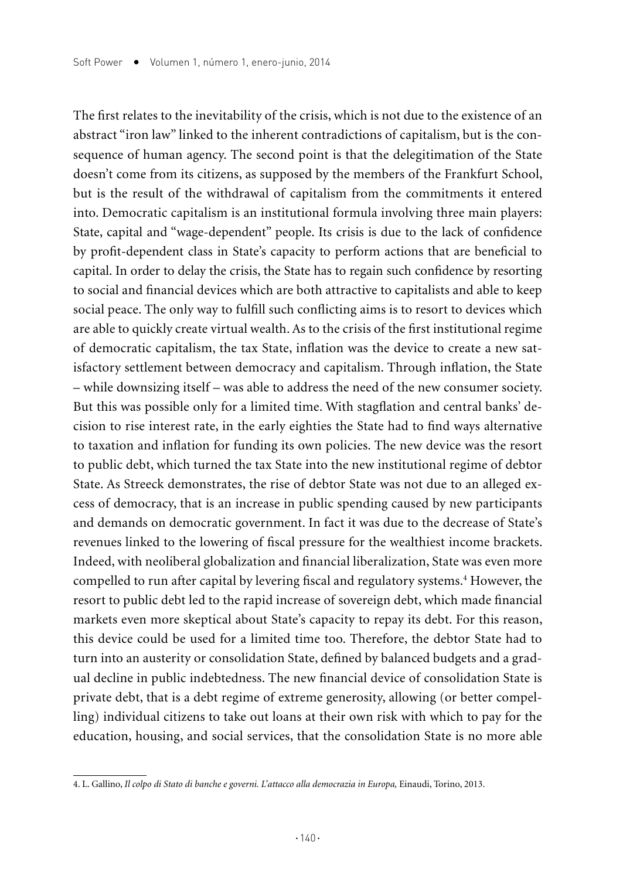The first relates to the inevitability of the crisis, which is not due to the existence of an abstract "iron law" linked to the inherent contradictions of capitalism, but is the consequence of human agency. The second point is that the delegitimation of the State doesn't come from its citizens, as supposed by the members of the Frankfurt School, but is the result of the withdrawal of capitalism from the commitments it entered into. Democratic capitalism is an institutional formula involving three main players: State, capital and "wage-dependent" people. Its crisis is due to the lack of confidence by profit-dependent class in State's capacity to perform actions that are beneficial to capital. In order to delay the crisis, the State has to regain such confidence by resorting to social and financial devices which are both attractive to capitalists and able to keep social peace. The only way to fulfill such conflicting aims is to resort to devices which are able to quickly create virtual wealth. As to the crisis of the first institutional regime of democratic capitalism, the tax State, inflation was the device to create a new satisfactory settlement between democracy and capitalism. Through inflation, the State – while downsizing itself – was able to address the need of the new consumer society. But this was possible only for a limited time. With stagflation and central banks' decision to rise interest rate, in the early eighties the State had to find ways alternative to taxation and inflation for funding its own policies. The new device was the resort to public debt, which turned the tax State into the new institutional regime of debtor State. As Streeck demonstrates, the rise of debtor State was not due to an alleged excess of democracy, that is an increase in public spending caused by new participants and demands on democratic government. In fact it was due to the decrease of State's revenues linked to the lowering of fiscal pressure for the wealthiest income brackets. Indeed, with neoliberal globalization and financial liberalization, State was even more compelled to run after capital by levering fiscal and regulatory systems.<sup>4</sup> However, the resort to public debt led to the rapid increase of sovereign debt, which made financial markets even more skeptical about State's capacity to repay its debt. For this reason, this device could be used for a limited time too. Therefore, the debtor State had to turn into an austerity or consolidation State, defined by balanced budgets and a gradual decline in public indebtedness. The new financial device of consolidation State is private debt, that is a debt regime of extreme generosity, allowing (or better compelling) individual citizens to take out loans at their own risk with which to pay for the education, housing, and social services, that the consolidation State is no more able

<sup>4.</sup> L. Gallino, *Il colpo di Stato di banche e governi. L'attacco alla democrazia in Europa,* Einaudi, Torino, 2013.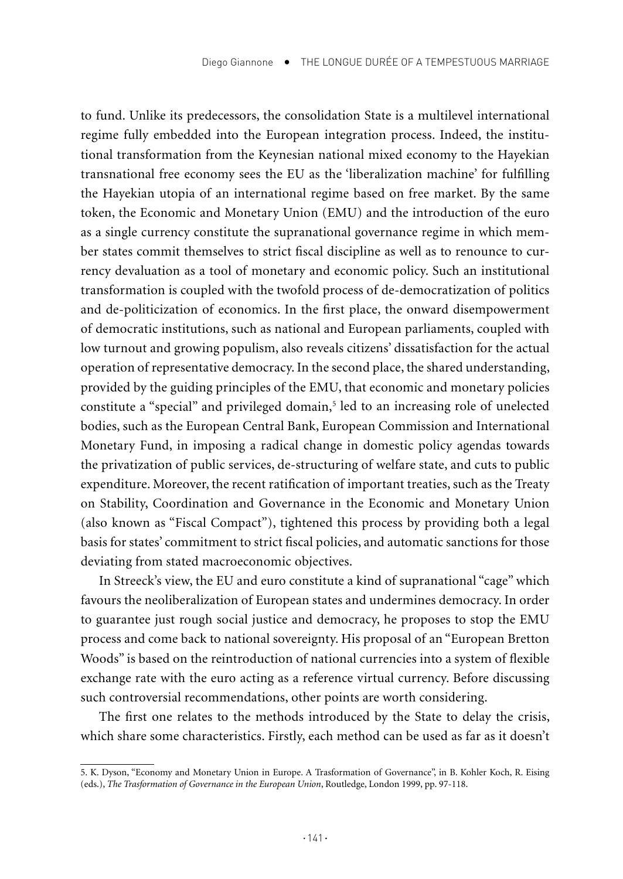to fund. Unlike its predecessors, the consolidation State is a multilevel international regime fully embedded into the European integration process. Indeed, the institutional transformation from the Keynesian national mixed economy to the Hayekian transnational free economy sees the EU as the 'liberalization machine' for fulfilling the Hayekian utopia of an international regime based on free market. By the same token, the Economic and Monetary Union (EMU) and the introduction of the euro as a single currency constitute the supranational governance regime in which member states commit themselves to strict fiscal discipline as well as to renounce to currency devaluation as a tool of monetary and economic policy. Such an institutional transformation is coupled with the twofold process of de-democratization of politics and de-politicization of economics. In the first place, the onward disempowerment of democratic institutions, such as national and European parliaments, coupled with low turnout and growing populism, also reveals citizens' dissatisfaction for the actual operation of representative democracy. In the second place, the shared understanding, provided by the guiding principles of the EMU, that economic and monetary policies constitute a "special" and privileged domain,<sup>5</sup> led to an increasing role of unelected bodies, such as the European Central Bank, European Commission and International Monetary Fund, in imposing a radical change in domestic policy agendas towards the privatization of public services, de-structuring of welfare state, and cuts to public expenditure. Moreover, the recent ratification of important treaties, such as the Treaty on Stability, Coordination and Governance in the Economic and Monetary Union (also known as "Fiscal Compact"), tightened this process by providing both a legal basis for states' commitment to strict fiscal policies, and automatic sanctions for those deviating from stated macroeconomic objectives.

In Streeck's view, the EU and euro constitute a kind of supranational "cage" which favours the neoliberalization of European states and undermines democracy. In order to guarantee just rough social justice and democracy, he proposes to stop the EMU process and come back to national sovereignty. His proposal of an "European Bretton Woods" is based on the reintroduction of national currencies into a system of flexible exchange rate with the euro acting as a reference virtual currency. Before discussing such controversial recommendations, other points are worth considering.

The first one relates to the methods introduced by the State to delay the crisis, which share some characteristics. Firstly, each method can be used as far as it doesn't

<sup>5.</sup> K. Dyson, "Economy and Monetary Union in Europe. A Trasformation of Governance", in B. Kohler Koch, R. Eising (eds.), *The Trasformation of Governance in the European Union*, Routledge, London 1999, pp. 97-118.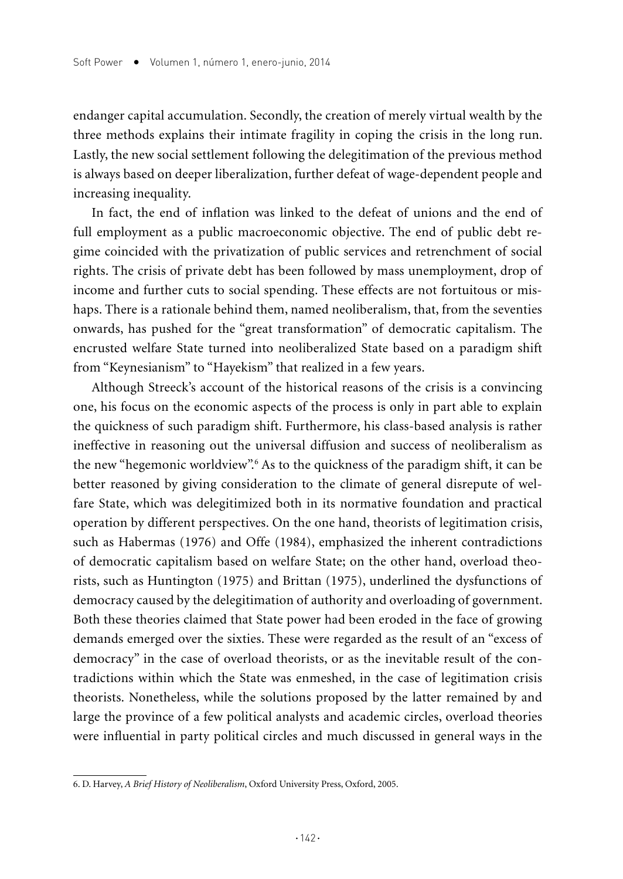endanger capital accumulation. Secondly, the creation of merely virtual wealth by the three methods explains their intimate fragility in coping the crisis in the long run. Lastly, the new social settlement following the delegitimation of the previous method is always based on deeper liberalization, further defeat of wage-dependent people and increasing inequality.

In fact, the end of inflation was linked to the defeat of unions and the end of full employment as a public macroeconomic objective. The end of public debt regime coincided with the privatization of public services and retrenchment of social rights. The crisis of private debt has been followed by mass unemployment, drop of income and further cuts to social spending. These effects are not fortuitous or mishaps. There is a rationale behind them, named neoliberalism, that, from the seventies onwards, has pushed for the "great transformation" of democratic capitalism. The encrusted welfare State turned into neoliberalized State based on a paradigm shift from "Keynesianism" to "Hayekism" that realized in a few years.

Although Streeck's account of the historical reasons of the crisis is a convincing one, his focus on the economic aspects of the process is only in part able to explain the quickness of such paradigm shift. Furthermore, his class-based analysis is rather ineffective in reasoning out the universal diffusion and success of neoliberalism as the new "hegemonic worldview".6 As to the quickness of the paradigm shift, it can be better reasoned by giving consideration to the climate of general disrepute of welfare State, which was delegitimized both in its normative foundation and practical operation by different perspectives. On the one hand, theorists of legitimation crisis, such as Habermas (1976) and Offe (1984), emphasized the inherent contradictions of democratic capitalism based on welfare State; on the other hand, overload theorists, such as Huntington (1975) and Brittan (1975), underlined the dysfunctions of democracy caused by the delegitimation of authority and overloading of government. Both these theories claimed that State power had been eroded in the face of growing demands emerged over the sixties. These were regarded as the result of an "excess of democracy" in the case of overload theorists, or as the inevitable result of the contradictions within which the State was enmeshed, in the case of legitimation crisis theorists. Nonetheless, while the solutions proposed by the latter remained by and large the province of a few political analysts and academic circles, overload theories were influential in party political circles and much discussed in general ways in the

<sup>6.</sup> D. Harvey, *A Brief History of Neoliberalism*, Oxford University Press, Oxford, 2005.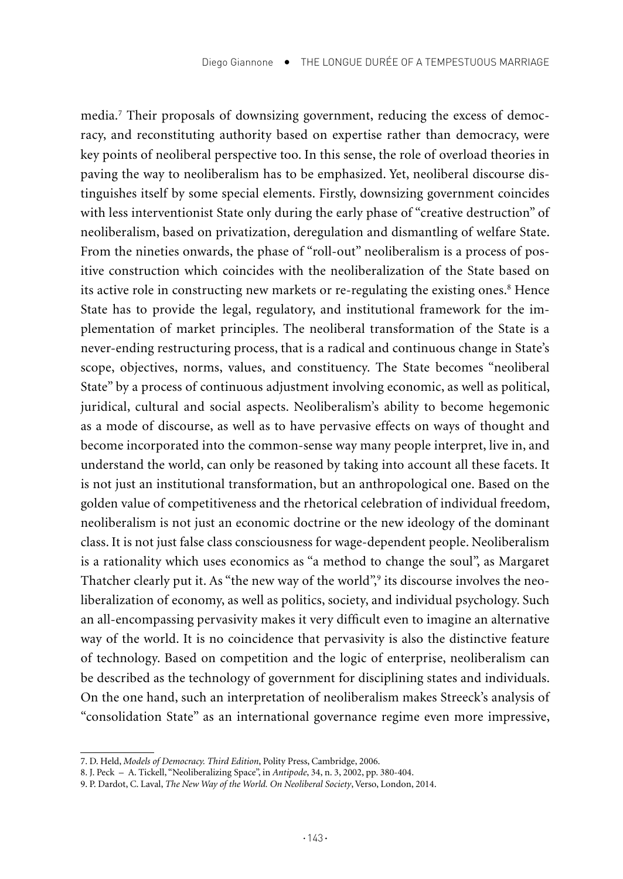media.7 Their proposals of downsizing government, reducing the excess of democracy, and reconstituting authority based on expertise rather than democracy, were key points of neoliberal perspective too. In this sense, the role of overload theories in paving the way to neoliberalism has to be emphasized. Yet, neoliberal discourse distinguishes itself by some special elements. Firstly, downsizing government coincides with less interventionist State only during the early phase of "creative destruction" of neoliberalism, based on privatization, deregulation and dismantling of welfare State. From the nineties onwards, the phase of "roll-out" neoliberalism is a process of positive construction which coincides with the neoliberalization of the State based on its active role in constructing new markets or re-regulating the existing ones.<sup>8</sup> Hence State has to provide the legal, regulatory, and institutional framework for the implementation of market principles. The neoliberal transformation of the State is a never-ending restructuring process, that is a radical and continuous change in State's scope, objectives, norms, values, and constituency. The State becomes "neoliberal State" by a process of continuous adjustment involving economic, as well as political, juridical, cultural and social aspects. Neoliberalism's ability to become hegemonic as a mode of discourse, as well as to have pervasive effects on ways of thought and become incorporated into the common-sense way many people interpret, live in, and understand the world, can only be reasoned by taking into account all these facets. It is not just an institutional transformation, but an anthropological one. Based on the golden value of competitiveness and the rhetorical celebration of individual freedom, neoliberalism is not just an economic doctrine or the new ideology of the dominant class. It is not just false class consciousness for wage-dependent people. Neoliberalism is a rationality which uses economics as "a method to change the soul", as Margaret Thatcher clearly put it. As "the new way of the world",<sup>9</sup> its discourse involves the neoliberalization of economy, as well as politics, society, and individual psychology. Such an all-encompassing pervasivity makes it very difficult even to imagine an alternative way of the world. It is no coincidence that pervasivity is also the distinctive feature of technology. Based on competition and the logic of enterprise, neoliberalism can be described as the technology of government for disciplining states and individuals. On the one hand, such an interpretation of neoliberalism makes Streeck's analysis of "consolidation State" as an international governance regime even more impressive,

<sup>7.</sup> D. Held, *Models of Democracy. Third Edition*, Polity Press, Cambridge, 2006.

<sup>8.</sup> J. Peck – A. Tickell, "Neoliberalizing Space", in *Antipode*, 34, n. 3, 2002, pp. 380-404.

<sup>9.</sup> P. Dardot, C. Laval, *The New Way of the World. On Neoliberal Society*, Verso, London, 2014.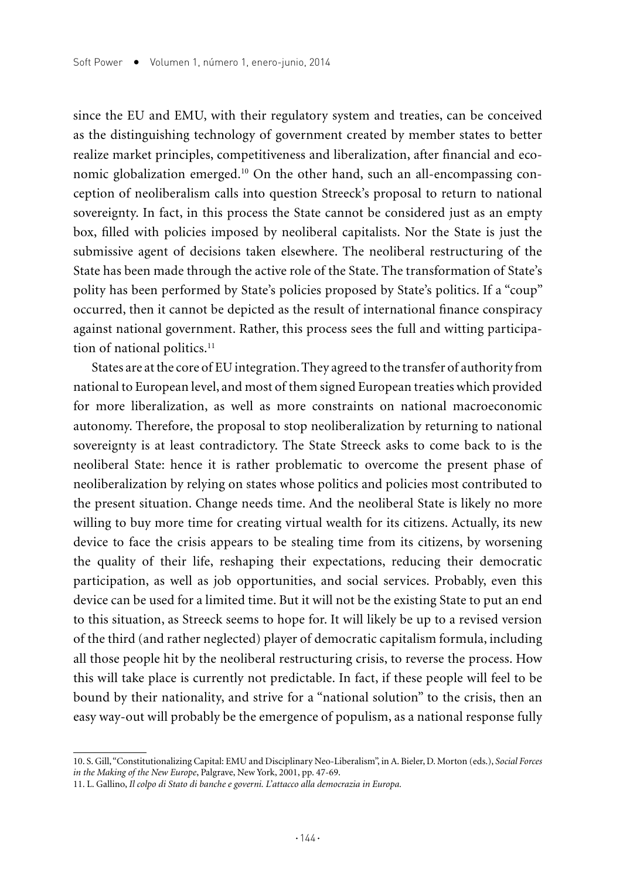since the EU and EMU, with their regulatory system and treaties, can be conceived as the distinguishing technology of government created by member states to better realize market principles, competitiveness and liberalization, after financial and economic globalization emerged.10 On the other hand, such an all-encompassing conception of neoliberalism calls into question Streeck's proposal to return to national sovereignty. In fact, in this process the State cannot be considered just as an empty box, filled with policies imposed by neoliberal capitalists. Nor the State is just the submissive agent of decisions taken elsewhere. The neoliberal restructuring of the State has been made through the active role of the State. The transformation of State's polity has been performed by State's policies proposed by State's politics. If a "coup" occurred, then it cannot be depicted as the result of international finance conspiracy against national government. Rather, this process sees the full and witting participation of national politics.<sup>11</sup>

States are at the core of EU integration. They agreed to the transfer of authority from national to European level, and most of them signed European treaties which provided for more liberalization, as well as more constraints on national macroeconomic autonomy. Therefore, the proposal to stop neoliberalization by returning to national sovereignty is at least contradictory. The State Streeck asks to come back to is the neoliberal State: hence it is rather problematic to overcome the present phase of neoliberalization by relying on states whose politics and policies most contributed to the present situation. Change needs time. And the neoliberal State is likely no more willing to buy more time for creating virtual wealth for its citizens. Actually, its new device to face the crisis appears to be stealing time from its citizens, by worsening the quality of their life, reshaping their expectations, reducing their democratic participation, as well as job opportunities, and social services. Probably, even this device can be used for a limited time. But it will not be the existing State to put an end to this situation, as Streeck seems to hope for. It will likely be up to a revised version of the third (and rather neglected) player of democratic capitalism formula, including all those people hit by the neoliberal restructuring crisis, to reverse the process. How this will take place is currently not predictable. In fact, if these people will feel to be bound by their nationality, and strive for a "national solution" to the crisis, then an easy way-out will probably be the emergence of populism, as a national response fully

<sup>10.</sup> S. Gill, "Constitutionalizing Capital: EMU and Disciplinary Neo-Liberalism", in A. Bieler, D. Morton (eds.), *Social Forces in the Making of the New Europe*, Palgrave, New York, 2001, pp. 47-69.

<sup>11.</sup> L. Gallino, *Il colpo di Stato di banche e governi. L'attacco alla democrazia in Europa.*